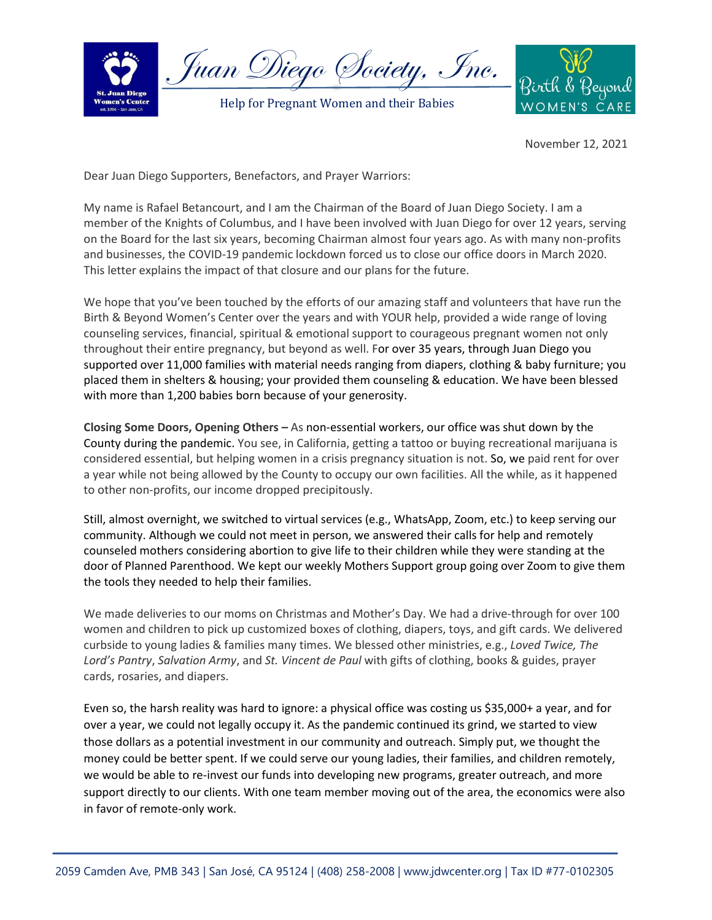

Juan Diego Society, Inc.

Help for Pregnant Women and their Babies



November 12, 2021

Dear Juan Diego Supporters, Benefactors, and Prayer Warriors:

My name is Rafael Betancourt, and I am the Chairman of the Board of Juan Diego Society. I am a member of the Knights of Columbus, and I have been involved with Juan Diego for over 12 years, serving on the Board for the last six years, becoming Chairman almost four years ago. As with many non-profits and businesses, the COVID-19 pandemic lockdown forced us to close our office doors in March 2020. This letter explains the impact of that closure and our plans for the future.

We hope that you've been touched by the efforts of our amazing staff and volunteers that have run the Birth & Beyond Women's Center over the years and with YOUR help, provided a wide range of loving counseling services, financial, spiritual & emotional support to courageous pregnant women not only throughout their entire pregnancy, but beyond as well. For over 35 years, through Juan Diego you supported over 11,000 families with material needs ranging from diapers, clothing & baby furniture; you placed them in shelters & housing; your provided them counseling & education. We have been blessed with more than 1,200 babies born because of your generosity.

**Closing Some Doors, Opening Others –** As non-essential workers, our office was shut down by the County during the pandemic. You see, in California, getting a tattoo or buying recreational marijuana is considered essential, but helping women in a crisis pregnancy situation is not. So, we paid rent for over a year while not being allowed by the County to occupy our own facilities. All the while, as it happened to other non-profits, our income dropped precipitously.

Still, almost overnight, we switched to virtual services (e.g., WhatsApp, Zoom, etc.) to keep serving our community. Although we could not meet in person, we answered their calls for help and remotely counseled mothers considering abortion to give life to their children while they were standing at the door of Planned Parenthood. We kept our weekly Mothers Support group going over Zoom to give them the tools they needed to help their families.

We made deliveries to our moms on Christmas and Mother's Day. We had a drive-through for over 100 women and children to pick up customized boxes of clothing, diapers, toys, and gift cards. We delivered curbside to young ladies & families many times. We blessed other ministries, e.g., *Loved Twice, The Lord's Pantry*, *Salvation Army*, and *St. Vincent de Paul* with gifts of clothing, books & guides, prayer cards, rosaries, and diapers.

Even so, the harsh reality was hard to ignore: a physical office was costing us \$35,000+ a year, and for over a year, we could not legally occupy it. As the pandemic continued its grind, we started to view those dollars as a potential investment in our community and outreach. Simply put, we thought the money could be better spent. If we could serve our young ladies, their families, and children remotely, we would be able to re-invest our funds into developing new programs, greater outreach, and more support directly to our clients. With one team member moving out of the area, the economics were also in favor of remote-only work.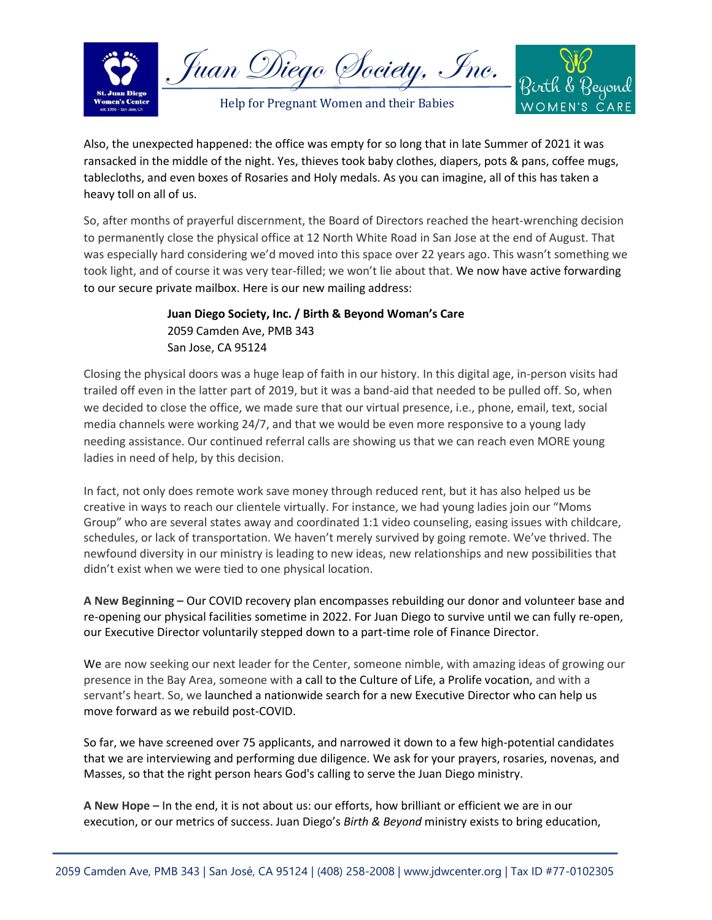

Juan Diego Society, Inc.

Help for Pregnant Women and their Babies



Also, the unexpected happened: the office was empty for so long that in late Summer of 2021 it was ransacked in the middle of the night. Yes, thieves took baby clothes, diapers, pots & pans, coffee mugs, tablecloths, and even boxes of Rosaries and Holy medals. As you can imagine, all of this has taken a heavy toll on all of us.

So, after months of prayerful discernment, the Board of Directors reached the heart-wrenching decision to permanently close the physical office at 12 North White Road in San Jose at the end of August. That was especially hard considering we'd moved into this space over 22 years ago. This wasn't something we took light, and of course it was very tear-filled; we won't lie about that. We now have active forwarding to our secure private mailbox. Here is our new mailing address:

## **Juan Diego Society, Inc. / Birth & Beyond Woman's Care** 2059 Camden Ave, PMB 343 San Jose, CA 95124

Closing the physical doors was a huge leap of faith in our history. In this digital age, in-person visits had trailed off even in the latter part of 2019, but it was a band-aid that needed to be pulled off. So, when we decided to close the office, we made sure that our virtual presence, i.e., phone, email, text, social media channels were working 24/7, and that we would be even more responsive to a young lady needing assistance. Our continued referral calls are showing us that we can reach even MORE young ladies in need of help, by this decision.

In fact, not only does remote work save money through reduced rent, but it has also helped us be creative in ways to reach our clientele virtually. For instance, we had young ladies join our "Moms Group" who are several states away and coordinated 1:1 video counseling, easing issues with childcare, schedules, or lack of transportation. We haven't merely survived by going remote. We've thrived. The newfound diversity in our ministry is leading to new ideas, new relationships and new possibilities that didn't exist when we were tied to one physical location.

**A New Beginning –** Our COVID recovery plan encompasses rebuilding our donor and volunteer base and re-opening our physical facilities sometime in 2022. For Juan Diego to survive until we can fully re-open, our Executive Director voluntarily stepped down to a part-time role of Finance Director.

We are now seeking our next leader for the Center, someone nimble, with amazing ideas of growing our presence in the Bay Area, someone with a call to the Culture of Life, a Prolife vocation, and with a servant's heart. So, we launched a nationwide search for a new Executive Director who can help us move forward as we rebuild post-COVID.

So far, we have screened over 75 applicants, and narrowed it down to a few high-potential candidates that we are interviewing and performing due diligence. We ask for your prayers, rosaries, novenas, and Masses, so that the right person hears God's calling to serve the Juan Diego ministry.

**A New Hope –** In the end, it is not about us: our efforts, how brilliant or efficient we are in our execution, or our metrics of success. Juan Diego's *Birth & Beyond* ministry exists to bring education,